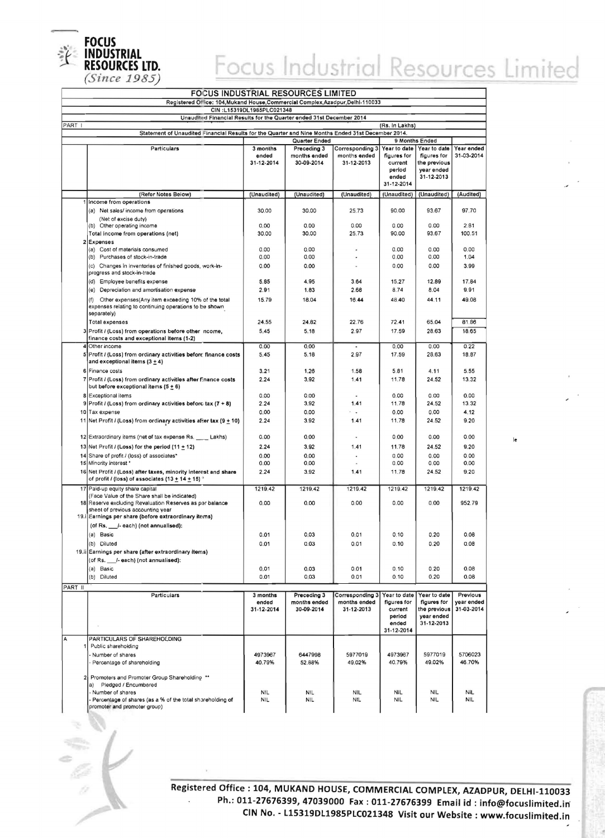

## Focus Industrial Resources Limited

Ie

| <b>FOCUS INDUSTRIAL RESOURCES LIMITED</b>                                       |                                                                                                                                            |                                 |                                           |                                               |                                                                         |                                                                         |                                      |
|---------------------------------------------------------------------------------|--------------------------------------------------------------------------------------------------------------------------------------------|---------------------------------|-------------------------------------------|-----------------------------------------------|-------------------------------------------------------------------------|-------------------------------------------------------------------------|--------------------------------------|
| Registered Office: 104, Mukand House, Commercial Complex, Azadpur, Delhi-110033 |                                                                                                                                            |                                 |                                           |                                               |                                                                         |                                                                         |                                      |
| CIN:L15319DL1985PLC021348                                                       |                                                                                                                                            |                                 |                                           |                                               |                                                                         |                                                                         |                                      |
|                                                                                 | Unaudited Financial Results for the Quarter ended 31st December 2014                                                                       |                                 |                                           |                                               |                                                                         |                                                                         |                                      |
| PART I                                                                          | Statement of Unaudited Financial Results for the Quarter and Nine Months Ended 31st December 2014.                                         |                                 |                                           |                                               | (Rs. In Lakhs)                                                          |                                                                         |                                      |
|                                                                                 |                                                                                                                                            |                                 | Quarter Ended                             |                                               | 9 Months Ended                                                          |                                                                         |                                      |
|                                                                                 | Particulars                                                                                                                                | 3 months<br>ended<br>31-12-2014 | Preceding 3<br>months ended<br>30-09-2014 | Corresponding 3<br>months ended<br>31-12-2013 | Year to date<br>figures for<br>current<br>period<br>ended               | Year to date<br>figures for<br>the previous<br>year ended<br>31-12-2013 | Year ended<br>31-03-2014             |
|                                                                                 |                                                                                                                                            |                                 |                                           |                                               | 31-12-2014                                                              |                                                                         |                                      |
|                                                                                 | (Refer Notes Below)                                                                                                                        | (Unaudited)                     | (Unaudited)                               | (Unaudited)                                   | (Unaudited)                                                             | (Unaudited)                                                             | (Audited)                            |
|                                                                                 | 1 Income from operations<br>(a) Net sales/ income from operations                                                                          | 30.00                           | 30.00                                     | 25.73                                         | 90.00                                                                   | 93.67                                                                   | 97.70                                |
|                                                                                 | (Net of excise duty)                                                                                                                       |                                 |                                           |                                               |                                                                         |                                                                         |                                      |
|                                                                                 | (b)<br>Other operating income                                                                                                              | 0.00                            | 0.00                                      | 0.00                                          | 0.00                                                                    | 0.00                                                                    | 2.81                                 |
|                                                                                 | Total income from operations (net)                                                                                                         | 30.00                           | 30.00                                     | 25.73                                         | 90.00                                                                   | 93.67                                                                   | 100.51                               |
| $\mathbf{z}$                                                                    | Expenses                                                                                                                                   |                                 | 0.00                                      |                                               | 0.00                                                                    | 0.00                                                                    | 0.00                                 |
|                                                                                 | (a) Cost of materials consumed<br>(b) Purchases of stock-in-trade                                                                          | 0.00<br>0.00                    | 0.00                                      | ٠                                             | 0.00                                                                    | 0.00                                                                    | 1.04                                 |
|                                                                                 | (c) Changes in inventories of finished goods, work-in-                                                                                     | 0.00                            | 0.00                                      |                                               | 0.00                                                                    | 0.00                                                                    | 3.99                                 |
|                                                                                 | progress and stock-in-trade                                                                                                                |                                 |                                           |                                               |                                                                         |                                                                         |                                      |
|                                                                                 | (d) Employee benefits expense                                                                                                              | 5.85                            | 4.95                                      | 3.64                                          | 15.27                                                                   | 12.89                                                                   | 17.84                                |
|                                                                                 | Depreciation and amortisation expense<br>(e)                                                                                               | 2.91                            | 1.83                                      | 2.68                                          | 8.74                                                                    | 8.04                                                                    | 9.91                                 |
|                                                                                 | Other expenses(Any item exceeding 10% of the total<br>(1)<br>expenses relating to continuing operations to be shown<br>separately)         | 15.79                           | 18.04                                     | 16.44                                         | 48.40                                                                   | 44.11                                                                   | 49.08                                |
|                                                                                 | <b>Total expenses</b>                                                                                                                      | 24.55                           | 24.82                                     | 22.76                                         | 72.41                                                                   | 65.04                                                                   | 81.86                                |
|                                                                                 | 3 Profit / (Loss) from operations before other ncome,<br>finance costs and exceptional items (1-2)                                         | 5.45                            | 5.18                                      | 2.97                                          | 17.59                                                                   | 28.63                                                                   | 18.65                                |
| 4                                                                               | Other income                                                                                                                               | 0.00                            | 0.00                                      |                                               | 0,00                                                                    | 0.00                                                                    | 0.22                                 |
|                                                                                 | 5 Profit / (Loss) from ordinary activities before finance costs<br>and exceptional items $(3 + 4)$                                         | 5.45                            | 5.18                                      | 2.97                                          | 17.59                                                                   | 28.63                                                                   | 18.87                                |
|                                                                                 | 6 Finance costs                                                                                                                            | 3.21                            | 1.26                                      | 1.58                                          | 5.81                                                                    | 4.11                                                                    | 5.55                                 |
| $\overline{7}$                                                                  | Profit / (Loss) from ordinary activities after finance costs<br>but before exceptional items $(5 \pm 6)$                                   | 2.24                            | 3.92                                      | 1.41                                          | 11.78                                                                   | 24.52                                                                   | 13.32                                |
|                                                                                 | 8 Exceptional items                                                                                                                        | 0.00                            | 0.00                                      |                                               | 0.00                                                                    | 0.00                                                                    | 0.00                                 |
| 9                                                                               | Profit / (Loss) from ordinary activities before tax $(7 + 8)$                                                                              | 2.24<br>0.00                    | 3.92<br>0.00                              | 1.41                                          | 11.78<br>0.00                                                           | 24.52<br>0.00                                                           | 13.32<br>4.12                        |
|                                                                                 | 10 Tax expense<br>11 Net Profit / (Loss) from ordinary activities after tax (9 $\pm$ 10)                                                   | 2.24                            | 3.92                                      | 1.41                                          | 11.78                                                                   | 24.52                                                                   | 9.20                                 |
|                                                                                 |                                                                                                                                            |                                 |                                           |                                               |                                                                         |                                                                         |                                      |
|                                                                                 | 12 Extraordinary items (net of tax expense Rs. ____ Lakhs)                                                                                 | 0.00                            | 0.00                                      |                                               | 0.00                                                                    | 0.00                                                                    | 0.00                                 |
|                                                                                 | 13 Net Profit / (Loss) for the period (11 $\pm$ 12)                                                                                        | 2.24                            | 3.92                                      | 1.41                                          | 11.78                                                                   | 24.52                                                                   | 9.20                                 |
|                                                                                 | 14 Share of profit / (loss) of associates*<br>15 Minority interest *                                                                       | 0.00                            | 0.00                                      |                                               | 0.00<br>0.00                                                            | 0.00                                                                    | 0.00<br>0.00                         |
| 16                                                                              |                                                                                                                                            | 0.00                            | 0.00<br>3.92                              | 1.41                                          | 11.78                                                                   | 0.00<br>24.52                                                           | 9.20                                 |
|                                                                                 | Net Profit / (Loss) after taxes, minority interest and share<br>of profit / (loss) of associates (13 <u>+</u> 14 <u>+</u> 15) <sup>ء</sup> | 2.24                            |                                           |                                               |                                                                         |                                                                         |                                      |
|                                                                                 | 17 Paid-up equity share capital                                                                                                            | 1219.42                         | 1219.42                                   | 1219.42                                       | 1219.42                                                                 | 1219.42                                                                 | 1219.42                              |
|                                                                                 | (Face Value of the Share shall be indicated)<br>18 Reserve excluding Revaluation Reserves as par balance                                   | 0.00                            | 0.00                                      | 0.00                                          | 0.00                                                                    | 0.00                                                                    | 952.79                               |
|                                                                                 | sheet of previous accounting year                                                                                                          |                                 |                                           |                                               |                                                                         |                                                                         |                                      |
|                                                                                 | 19.i Earnings per share (before extraordinary items)                                                                                       |                                 |                                           |                                               |                                                                         |                                                                         |                                      |
|                                                                                 | (of Rs. _____/- each) (not annualised):                                                                                                    |                                 |                                           |                                               |                                                                         |                                                                         |                                      |
|                                                                                 | (a) Basic                                                                                                                                  | 0.01                            | 0.03                                      | 0.01                                          | 0.10                                                                    | 0.20                                                                    | 0.08                                 |
|                                                                                 | (b) Diluted                                                                                                                                | 0.01                            | 0.03                                      | 0.01                                          | 0.10                                                                    | 0.20                                                                    | 0.08                                 |
|                                                                                 | 19.ii Earnings per share (after extraordinary items)                                                                                       |                                 |                                           |                                               |                                                                         |                                                                         |                                      |
|                                                                                 | (of Rs. ___ /- each) (not annualised):                                                                                                     |                                 |                                           |                                               |                                                                         |                                                                         |                                      |
|                                                                                 | (a) Basic                                                                                                                                  | 0.01                            | 0.03                                      | 0.01                                          | 0.10                                                                    | 0.20                                                                    | 0.08                                 |
|                                                                                 | (b) Diluted                                                                                                                                | 0.01                            | 0,03                                      | 0.01                                          | 0.10                                                                    | 0.20                                                                    | 0.08                                 |
| PART II                                                                         |                                                                                                                                            |                                 |                                           |                                               |                                                                         |                                                                         |                                      |
|                                                                                 | Particulars                                                                                                                                | 3 months<br>ended<br>31-12-2014 | Preceding 3<br>months ended<br>30-09-2014 | Corresponding 3<br>months ended<br>31-12-2013 | Year to date<br>figures for<br>current<br>period<br>ended<br>31-12-2014 | Year to date<br>figures for<br>the previous<br>year ended<br>31-12-2013 | Previous<br>year ended<br>31-03-2014 |
| A                                                                               | PARTICULARS OF SHAREHOLDING                                                                                                                |                                 |                                           |                                               |                                                                         |                                                                         |                                      |
| 1                                                                               | Public shareholding                                                                                                                        |                                 |                                           |                                               |                                                                         |                                                                         |                                      |
|                                                                                 | Number of shares                                                                                                                           | 4973967                         | 6447998                                   | 5977019                                       | 4973967                                                                 | 5977019                                                                 | 5706023                              |
|                                                                                 | - Percentage of shareholding                                                                                                               | 40.79%                          | 52.88%                                    | 49.02%                                        | 40.79%                                                                  | 49.02%                                                                  | 46.70%                               |
| 2                                                                               | Promoters and Promoter Group Shareholding **<br>a) Pledged / Encumbered                                                                    |                                 |                                           |                                               |                                                                         |                                                                         |                                      |
|                                                                                 | - Number of shares<br>Percentage of shares (as a % of the total shareholding of<br>promoter and promoter group)                            | <b>NIL</b><br><b>NIL</b>        | <b>NIL</b><br><b>NIL</b>                  | NIL<br><b>NIL</b>                             | <b>NIL</b><br><b>NIL</b>                                                | <b>NIL</b><br><b>NIL</b>                                                | <b>NIL</b><br><b>NIL</b>             |
|                                                                                 |                                                                                                                                            |                                 |                                           |                                               |                                                                         |                                                                         |                                      |

**Registered Office: 104, MUKAND HOUSE, COMMERCIAL COMPLEX, AZADPUR, DElHI-110033 Ph.: 011-27676399, 47039000 Fax: 011-27676399 Email id : info@focuslimited.in**   $\overline{\phantom{a}}$ **CIN No. - L15319DL1985PLC021348 Visit our Website: www.focuslimited.in**